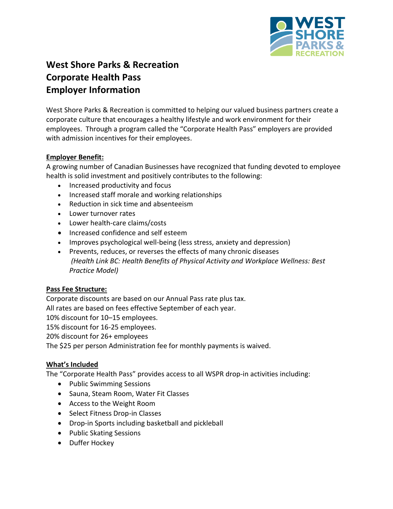

# **West Shore Parks & Recreation Corporate Health Pass Employer Information**

West Shore Parks & Recreation is committed to helping our valued business partners create a corporate culture that encourages a healthy lifestyle and work environment for their employees. Through a program called the "Corporate Health Pass" employers are provided with admission incentives for their employees.

# **Employer Benefit:**

A growing number of Canadian Businesses have recognized that funding devoted to employee health is solid investment and positively contributes to the following:

- Increased productivity and focus
- Increased staff morale and working relationships
- Reduction in sick time and absenteeism
- Lower turnover rates
- Lower health-care claims/costs
- Increased confidence and self esteem
- Improves psychological well-being (less stress, anxiety and depression)
- Prevents, reduces, or reverses the effects of many chronic diseases *(Health Link BC: Health Benefits of Physical Activity and Workplace Wellness: Best Practice Model)*

# **Pass Fee Structure:**

Corporate discounts are based on our Annual Pass rate plus tax.

All rates are based on fees effective September of each year.

10% discount for 10–15 employees.

15% discount for 16-25 employees.

20% discount for 26+ employees

The \$25 per person Administration fee for monthly payments is waived.

# **What's Included**

The "Corporate Health Pass" provides access to all WSPR drop-in activities including:

- Public Swimming Sessions
- Sauna, Steam Room, Water Fit Classes
- Access to the Weight Room
- Select Fitness Drop-in Classes
- Drop-in Sports including basketball and pickleball
- Public Skating Sessions
- Duffer Hockey